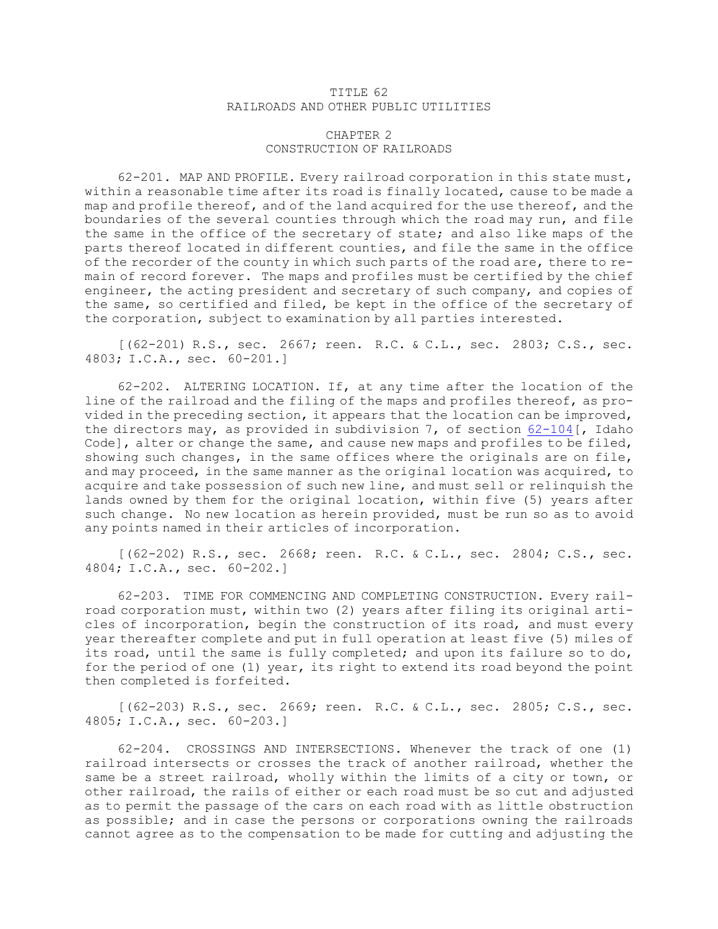## TITLE 62 RAILROADS AND OTHER PUBLIC UTILITIES

## CHAPTER 2 CONSTRUCTION OF RAILROADS

62-201. MAP AND PROFILE. Every railroad corporation in this state must, within <sup>a</sup> reasonable time after its road is finally located, cause to be made <sup>a</sup> map and profile thereof, and of the land acquired for the use thereof, and the boundaries of the several counties through which the road may run, and file the same in the office of the secretary of state; and also like maps of the parts thereof located in different counties, and file the same in the office of the recorder of the county in which such parts of the road are, there to remain of record forever. The maps and profiles must be certified by the chief engineer, the acting president and secretary of such company, and copies of the same, so certified and filed, be kept in the office of the secretary of the corporation, subject to examination by all parties interested.

[(62-201) R.S., sec. 2667; reen. R.C. & C.L., sec. 2803; C.S., sec. 4803; I.C.A., sec. 60-201.]

62-202. ALTERING LOCATION. If, at any time after the location of the line of the railroad and the filing of the maps and profiles thereof, as provided in the preceding section, it appears that the location can be improved, the directors may, as provided in subdivision 7, of section [62-104](https://legislature.idaho.gov/statutesrules/idstat/Title62/T62CH1/SECT62-104)[, Idaho Code], alter or change the same, and cause new maps and profiles to be filed, showing such changes, in the same offices where the originals are on file, and may proceed, in the same manner as the original location was acquired, to acquire and take possession of such new line, and must sell or relinquish the lands owned by them for the original location, within five (5) years after such change. No new location as herein provided, must be run so as to avoid any points named in their articles of incorporation.

[(62-202) R.S., sec. 2668; reen. R.C. & C.L., sec. 2804; C.S., sec. 4804; I.C.A., sec. 60-202.]

62-203. TIME FOR COMMENCING AND COMPLETING CONSTRUCTION. Every railroad corporation must, within two (2) years after filing its original articles of incorporation, begin the construction of its road, and must every year thereafter complete and put in full operation at least five (5) miles of its road, until the same is fully completed; and upon its failure so to do, for the period of one (1) year, its right to extend its road beyond the point then completed is forfeited.

[(62-203) R.S., sec. 2669; reen. R.C. & C.L., sec. 2805; C.S., sec. 4805; I.C.A., sec. 60-203.]

62-204. CROSSINGS AND INTERSECTIONS. Whenever the track of one (1) railroad intersects or crosses the track of another railroad, whether the same be <sup>a</sup> street railroad, wholly within the limits of <sup>a</sup> city or town, or other railroad, the rails of either or each road must be so cut and adjusted as to permit the passage of the cars on each road with as little obstruction as possible; and in case the persons or corporations owning the railroads cannot agree as to the compensation to be made for cutting and adjusting the